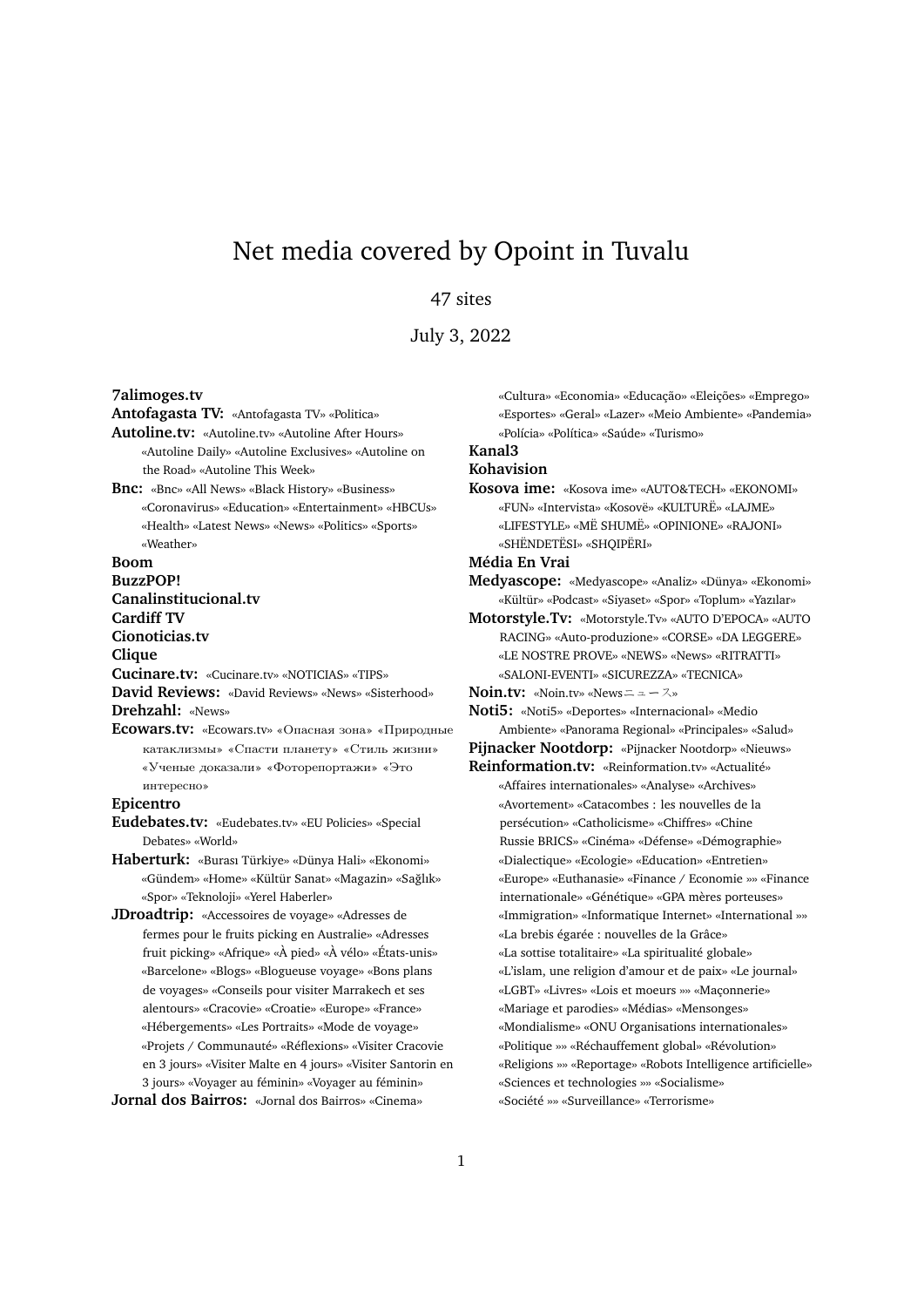# Net media covered by Opoint in Tuvalu

#### 47 sites

July 3, 2022

**7alimoges.tv**

**Antofagasta TV:** «Antofagasta TV» «Politica»

**Autoline.tv:** «Autoline.tv» «Autoline After Hours» «Autoline Daily» «Autoline Exclusives» «Autoline on the Road» «Autoline This Week»

**Bnc:** «Bnc» «All News» «Black History» «Business» «Coronavirus» «Education» «Entertainment» «HBCUs» «Health» «Latest News» «News» «Politics» «Sports» «Weather»

**Boom**

**BuzzPOP! Canalinstitucional.tv Cardiff TV**

**Cionoticias.tv**

**Clique**

**Cucinare.tv:** «Cucinare.tv» «NOTICIAS» «TIPS»

**David Reviews:** «David Reviews» «News» «Sisterhood» **Drehzahl:** «News»

**Ecowars.tv:** «Ecowars.tv» «Опасная зона» «Природные катаклизмы» «Спасти планету» «Стиль жизни» «Ученые доказали» «Фоторепортажи» «Это интересно»

**Epicentro**

- **Eudebates.tv:** «Eudebates.tv» «EU Policies» «Special Debates» «World»
- **Haberturk:** «Burası Türkiye» «Dünya Hali» «Ekonomi» «Gündem» «Home» «Kültür Sanat» «Magazin» «Saglık» ˘ «Spor» «Teknoloji» «Yerel Haberler»

**JDroadtrip:** «Accessoires de voyage» «Adresses de fermes pour le fruits picking en Australie» «Adresses fruit picking» «Afrique» «À pied» «À vélo» «États-unis» «Barcelone» «Blogs» «Blogueuse voyage» «Bons plans de voyages» «Conseils pour visiter Marrakech et ses alentours» «Cracovie» «Croatie» «Europe» «France» «Hébergements» «Les Portraits» «Mode de voyage» «Projets / Communauté» «Réflexions» «Visiter Cracovie en 3 jours» «Visiter Malte en 4 jours» «Visiter Santorin en 3 jours» «Voyager au féminin» «Voyager au féminin»

**Jornal dos Bairros:** «Jornal dos Bairros» «Cinema»

«Cultura» «Economia» «Educação» «Eleições» «Emprego» «Esportes» «Geral» «Lazer» «Meio Ambiente» «Pandemia» «Polícia» «Política» «Saúde» «Turismo»

## **Kanal3**

### **Kohavision**

**Kosova ime:** «Kosova ime» «AUTO&TECH» «EKONOMI» «FUN» «Intervista» «Kosovë» «KULTURË» «LAJME» «LIFESTYLE» «MË SHUMË» «OPINIONE» «RAJONI»

«SHËNDETËSI» «SHQIPËRI»

**Média En Vrai**

- **Medyascope:** «Medyascope» «Analiz» «Dünya» «Ekonomi» «Kültür» «Podcast» «Siyaset» «Spor» «Toplum» «Yazılar»
- **Motorstyle.Tv:** «Motorstyle.Tv» «AUTO D'EPOCA» «AUTO RACING» «Auto-produzione» «CORSE» «DA LEGGERE» «LE NOSTRE PROVE» «NEWS» «News» «RITRATTI» «SALONI-EVENTI» «SICUREZZA» «TECNICA»

**Noin.tv:** «Noin.tv» «Newsニュース»

**Noti5:** «Noti5» «Deportes» «Internacional» «Medio Ambiente» «Panorama Regional» «Principales» «Salud» **Pijnacker Nootdorp:** «Pijnacker Nootdorp» «Nieuws»

**Reinformation.tv:** «Reinformation.tv» «Actualité» «Affaires internationales» «Analyse» «Archives» «Avortement» «Catacombes : les nouvelles de la persécution» «Catholicisme» «Chiffres» «Chine Russie BRICS» «Cinéma» «Défense» «Démographie» «Dialectique» «Ecologie» «Education» «Entretien» «Europe» «Euthanasie» «Finance / Economie »» «Finance internationale» «Génétique» «GPA mères porteuses» «Immigration» «Informatique Internet» «International »» «La brebis égarée : nouvelles de la Grâce» «La sottise totalitaire» «La spiritualité globale» «L'islam, une religion d'amour et de paix» «Le journal» «LGBT» «Livres» «Lois et moeurs »» «Maçonnerie» «Mariage et parodies» «Médias» «Mensonges» «Mondialisme» «ONU Organisations internationales» «Politique »» «Réchauffement global» «Révolution» «Religions »» «Reportage» «Robots Intelligence artificielle» «Sciences et technologies »» «Socialisme» «Société »» «Surveillance» «Terrorisme»